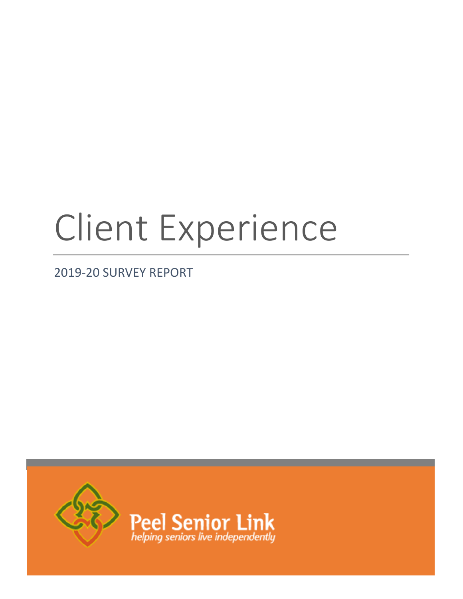# Client Experience

2019-20 SURVEY REPORT

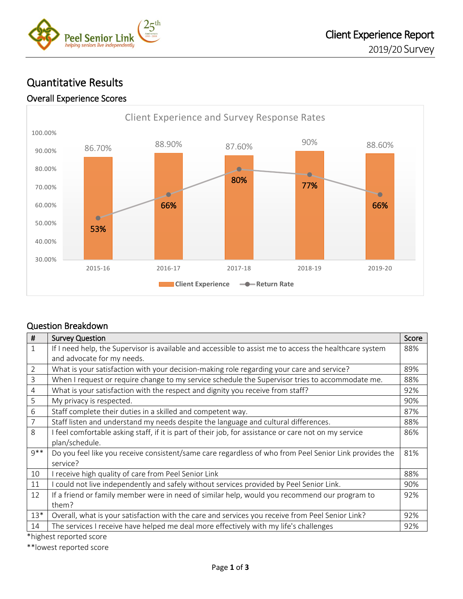

# Quantitative Results

#### Overall Experience Scores



## Question Breakdown

| #              | <b>Survey Question</b>                                                                                  | Score |
|----------------|---------------------------------------------------------------------------------------------------------|-------|
| $\mathbf{1}$   | If I need help, the Supervisor is available and accessible to assist me to access the healthcare system | 88%   |
|                | and advocate for my needs.                                                                              |       |
| 2              | What is your satisfaction with your decision-making role regarding your care and service?               | 89%   |
| $\mathsf{3}$   | When I request or require change to my service schedule the Supervisor tries to accommodate me.         | 88%   |
| $\overline{4}$ | What is your satisfaction with the respect and dignity you receive from staff?                          | 92%   |
| 5              | My privacy is respected.                                                                                | 90%   |
| 6              | Staff complete their duties in a skilled and competent way.                                             | 87%   |
| 7              | Staff listen and understand my needs despite the language and cultural differences.                     | 88%   |
| 8              | I feel comfortable asking staff, if it is part of their job, for assistance or care not on my service   | 86%   |
|                | plan/schedule.                                                                                          |       |
| $9**$          | Do you feel like you receive consistent/same care regardless of who from Peel Senior Link provides the  | 81%   |
|                | service?                                                                                                |       |
| 10             | I receive high quality of care from Peel Senior Link                                                    | 88%   |
| 11             | I could not live independently and safely without services provided by Peel Senior Link.                | 90%   |
| 12             | If a friend or family member were in need of similar help, would you recommend our program to           | 92%   |
|                | them?                                                                                                   |       |
| $13*$          | Overall, what is your satisfaction with the care and services you receive from Peel Senior Link?        | 92%   |
| 14             | The services I receive have helped me deal more effectively with my life's challenges                   | 92%   |

\*highest reported score

\*\*lowest reported score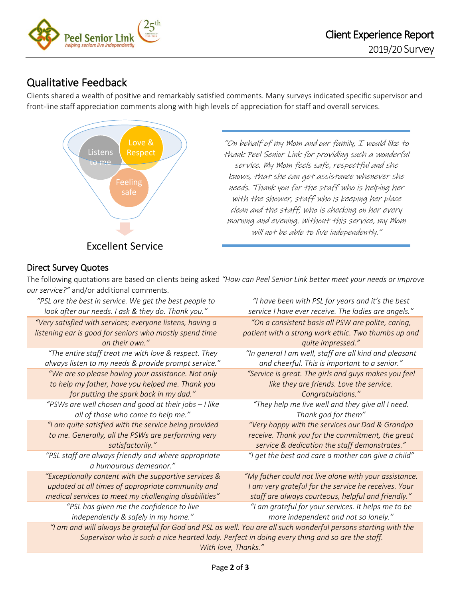

# Qualitative Feedback

Clients shared a wealth of positive and remarkably satisfied comments. Many surveys indicated specific supervisor and front-line staff appreciation comments along with high levels of appreciation for staff and overall services.



"On behalf of my Mom and our family, I would like to thank Peel Senior Link for providing such a wonderful service. My Mom feels safe, respectful and she knows, that she can get assistance whenever she needs. Thank you for the staff who is helping her with the shower, staff who is keeping her place clean and the staff, who is checking on her every morning and evening. Without this service, my Mom will not be able to live independently."

# Direct Survey Quotes

The following quotations are based on clients being asked *"How can Peel Senior Link better meet your needs or improve our service?"* and/or additional comments.

| $\sigma$ ar scrvice: and/or additional comments.                                                                |                                                        |  |  |
|-----------------------------------------------------------------------------------------------------------------|--------------------------------------------------------|--|--|
| "PSL are the best in service. We get the best people to                                                         | "I have been with PSL for years and it's the best      |  |  |
| look after our needs. I ask & they do. Thank you."                                                              | service I have ever receive. The ladies are angels."   |  |  |
| "Very satisfied with services; everyone listens, having a                                                       | "On a consistent basis all PSW are polite, caring,     |  |  |
| listening ear is good for seniors who mostly spend time                                                         | patient with a strong work ethic. Two thumbs up and    |  |  |
| on their own."                                                                                                  | quite impressed."                                      |  |  |
| "The entire staff treat me with love & respect. They                                                            | "In general I am well, staff are all kind and pleasant |  |  |
| always listen to my needs & provide prompt service."                                                            | and cheerful. This is important to a senior."          |  |  |
| "We are so please having your assistance. Not only                                                              | "Service is great. The girls and guys makes you feel   |  |  |
| to help my father, have you helped me. Thank you                                                                | like they are friends. Love the service.               |  |  |
| for putting the spark back in my dad."                                                                          | Congratulations."                                      |  |  |
| "PSWs are well chosen and good at their jobs - I like                                                           | "They help me live well and they give all I need.      |  |  |
| all of those who come to help me."                                                                              | Thank god for them"                                    |  |  |
| "I am quite satisfied with the service being provided                                                           | "Very happy with the services our Dad & Grandpa        |  |  |
| to me. Generally, all the PSWs are performing very                                                              | receive. Thank you for the commitment, the great       |  |  |
| satisfactorily."                                                                                                | service & dedication the staff demonstrates."          |  |  |
| "PSL staff are always friendly and where appropriate                                                            | "I get the best and care a mother can give a child"    |  |  |
| a humourous demeanor."                                                                                          |                                                        |  |  |
| "Exceptionally content with the supportive services &                                                           | "My father could not live alone with your assistance.  |  |  |
| updated at all times of appropriate community and                                                               | I am very grateful for the service he receives. Your   |  |  |
| medical services to meet my challenging disabilities"                                                           | staff are always courteous, helpful and friendly."     |  |  |
| "PSL has given me the confidence to live                                                                        | "I am grateful for your services. It helps me to be    |  |  |
| independently & safely in my home."                                                                             | more independent and not so lonely."                   |  |  |
| "I am and will always be grateful for God and PSL as well. You are all such wonderful persons starting with the |                                                        |  |  |
| Supervisor who is such a nice hearted lady. Perfect in doing every thing and so are the staff.                  |                                                        |  |  |
| With love, Thanks."                                                                                             |                                                        |  |  |